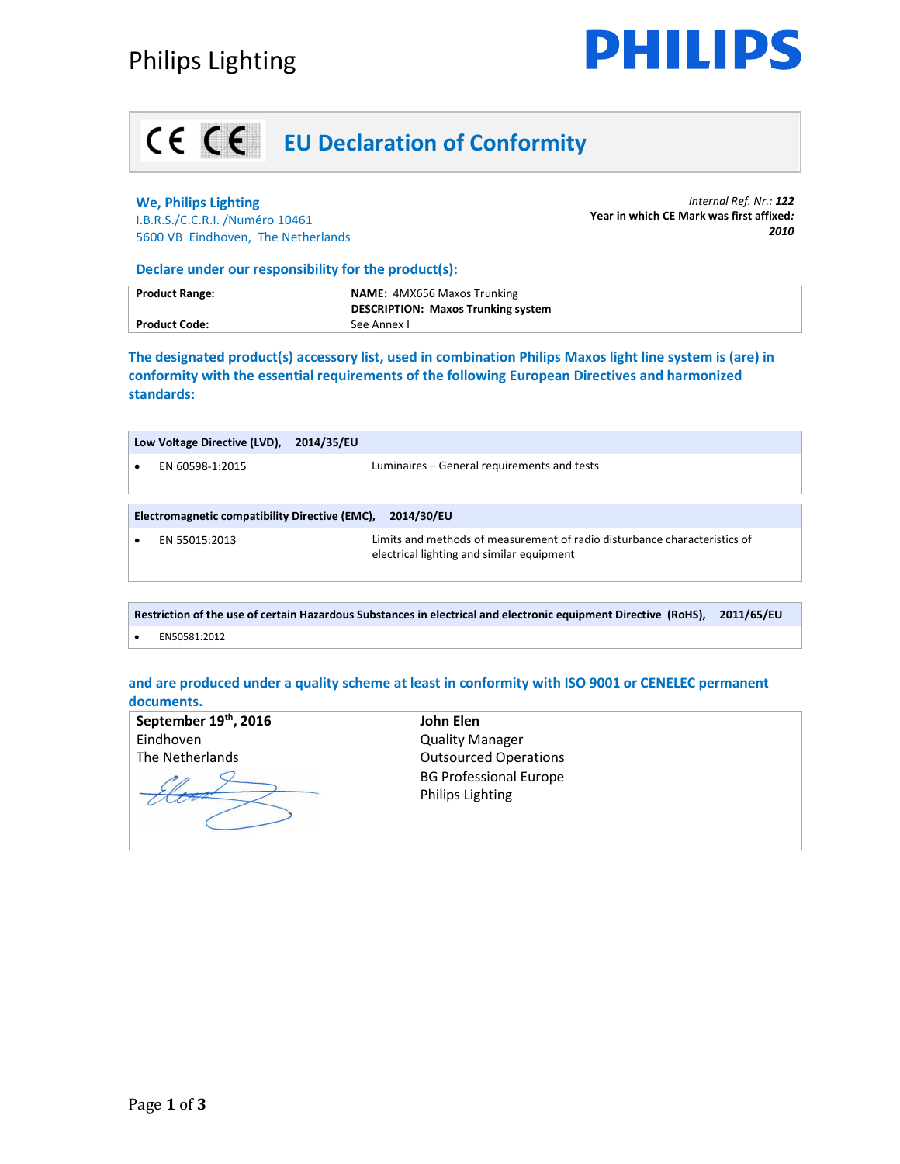

## **EU Declaration of Conformity**

### **We, Philips Lighting**

I.B.R.S./C.C.R.I. /Numéro 10461 5600 VB Eindhoven, The Netherlands

*Internal Ref. Nr.: 122*  **Year in which CE Mark was first affixed***: 2010*

#### **Declare under our responsibility for the product(s):**

| <b>Product Range:</b> | <b>NAME: 4MX656 Maxos Trunking</b>        |  |
|-----------------------|-------------------------------------------|--|
|                       | <b>DESCRIPTION: Maxos Trunking system</b> |  |
| <b>Product Code:</b>  | See Annex I                               |  |

**The designated product(s) accessory list, used in combination Philips Maxos light line system is (are) in conformity with the essential requirements of the following European Directives and harmonized standards:** 

|                                                              | Low Voltage Directive (LVD), | 2014/35/EU                                                                                                             |  |  |
|--------------------------------------------------------------|------------------------------|------------------------------------------------------------------------------------------------------------------------|--|--|
|                                                              | EN 60598-1:2015              | Luminaires – General requirements and tests                                                                            |  |  |
|                                                              |                              |                                                                                                                        |  |  |
| Electromagnetic compatibility Directive (EMC),<br>2014/30/EU |                              |                                                                                                                        |  |  |
|                                                              | EN 55015:2013                | Limits and methods of measurement of radio disturbance characteristics of<br>electrical lighting and similar equipment |  |  |

**Restriction of the use of certain Hazardous Substances in electrical and electronic equipment Directive (RoHS), 2011/65/EU**  • EN50581:2012

### **and are produced under a quality scheme at least in conformity with ISO 9001 or CENELEC permanent documents.**

| September 19th, 2016 | John Elen                     |
|----------------------|-------------------------------|
| Eindhoven            | <b>Quality Manager</b>        |
| The Netherlands      | <b>Outsourced Operations</b>  |
|                      | <b>BG Professional Europe</b> |
|                      | <b>Philips Lighting</b>       |
|                      |                               |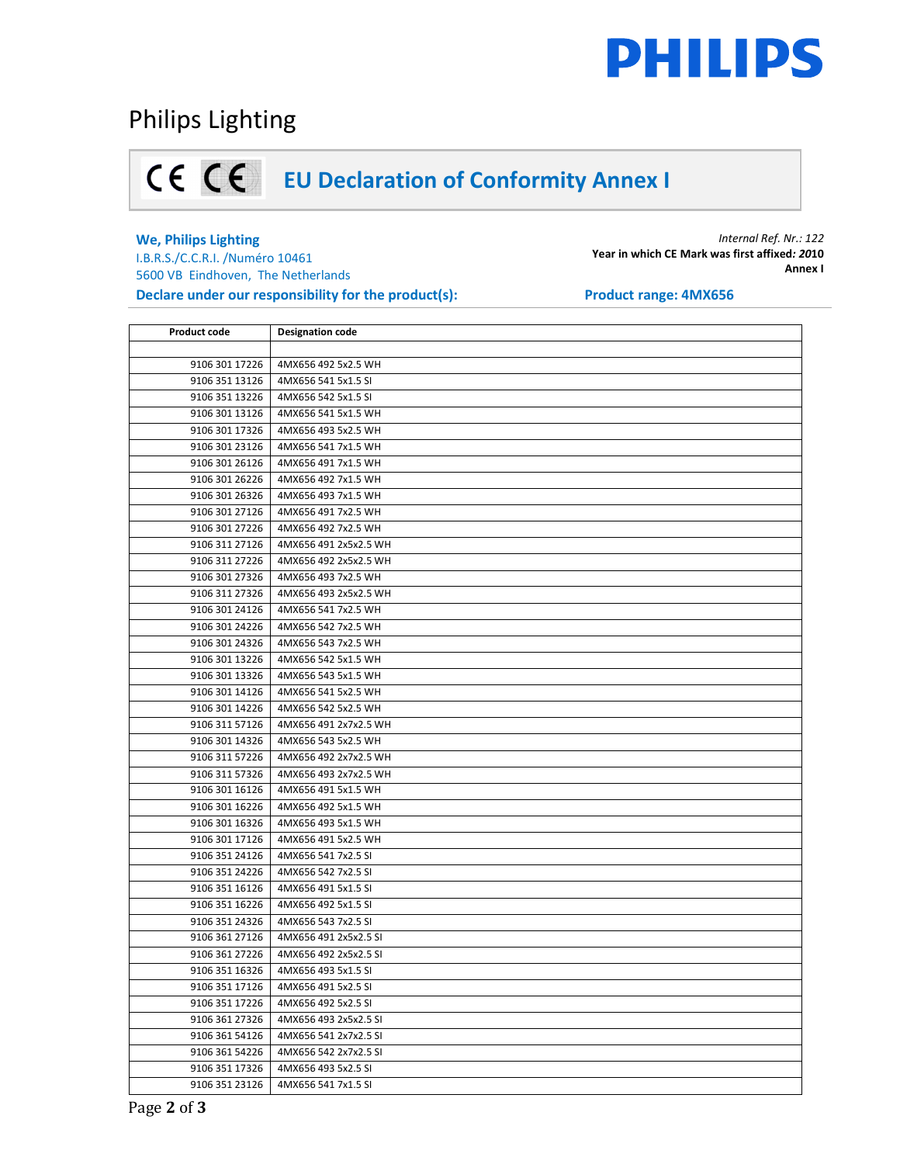# **PHILIPS**

## Philips Lighting

## **EU Declaration of Conformity Annex I**

### **We, Philips Lighting**

I.B.R.S./C.C.R.I. /Numéro 10461 5600 VB Eindhoven, The Netherlands **Declare under our responsibility for the product(s):** Product range: 4MX656

*Internal Ref. Nr.: 122* **Year in which CE Mark was first affixed***: 20***10 Annex I** 

| <b>Product code</b> | <b>Designation code</b> |
|---------------------|-------------------------|
|                     |                         |
| 9106 301 17226      | 4MX656 492 5x2.5 WH     |
| 9106 351 13126      | 4MX656 541 5x1.5 SI     |
| 9106 351 13226      | 4MX656 542 5x1.5 SI     |
| 9106 301 13126      | 4MX656 541 5x1.5 WH     |
| 9106 301 17326      | 4MX656 493 5x2.5 WH     |
| 9106 301 23126      | 4MX656 541 7x1.5 WH     |
| 9106 301 26126      | 4MX656 491 7x1.5 WH     |
| 9106 301 26226      | 4MX656 492 7x1.5 WH     |
| 9106 301 26326      | 4MX656 493 7x1.5 WH     |
| 9106 301 27126      | 4MX656 491 7x2.5 WH     |
| 9106 301 27226      | 4MX656 492 7x2.5 WH     |
| 9106 311 27126      | 4MX656 491 2x5x2.5 WH   |
| 9106 311 27226      | 4MX656 492 2x5x2.5 WH   |
| 9106 301 27326      | 4MX656 493 7x2.5 WH     |
| 9106 311 27326      | 4MX656 493 2x5x2.5 WH   |
| 9106 301 24126      | 4MX656 541 7x2.5 WH     |
| 9106 301 24226      | 4MX656 542 7x2.5 WH     |
| 9106 301 24326      | 4MX656 543 7x2.5 WH     |
| 9106 301 13226      | 4MX656 542 5x1.5 WH     |
| 9106 301 13326      | 4MX656 543 5x1.5 WH     |
| 9106 301 14126      | 4MX656 541 5x2.5 WH     |
| 9106 301 14226      | 4MX656 542 5x2.5 WH     |
| 9106 311 57126      | 4MX656 491 2x7x2.5 WH   |
| 9106 301 14326      | 4MX656 543 5x2.5 WH     |
| 9106 311 57226      | 4MX656 492 2x7x2.5 WH   |
| 9106 311 57326      | 4MX656 493 2x7x2.5 WH   |
| 9106 301 16126      | 4MX656 491 5x1.5 WH     |
| 9106 301 16226      | 4MX656 492 5x1.5 WH     |
| 9106 301 16326      | 4MX656 493 5x1.5 WH     |
| 9106 301 17126      | 4MX656 491 5x2.5 WH     |
| 9106 351 24126      | 4MX656 541 7x2.5 SI     |
| 9106 351 24226      | 4MX656 542 7x2.5 SI     |
| 9106 351 16126      | 4MX656 491 5x1.5 SI     |
| 9106 351 16226      | 4MX656 492 5x1.5 SI     |
| 9106 351 24326      | 4MX656 543 7x2.5 SI     |
| 9106 361 27126      | 4MX656 491 2x5x2.5 SI   |
| 9106 361 27226      | 4MX656 492 2x5x2.5 SI   |
| 9106 351 16326      | 4MX656 493 5x1.5 SI     |
| 9106 351 17126      | 4MX656 491 5x2.5 SI     |
| 9106 351 17226      | 4MX656 492 5x2.5 SI     |
| 9106 361 27326      | 4MX656 493 2x5x2.5 SI   |
| 9106 361 54126      | 4MX656 541 2x7x2.5 SI   |
| 9106 361 54226      | 4MX656 542 2x7x2.5 SI   |
| 9106 351 17326      | 4MX656 493 5x2.5 SI     |
| 9106 351 23126      | 4MX656 541 7x1.5 SI     |